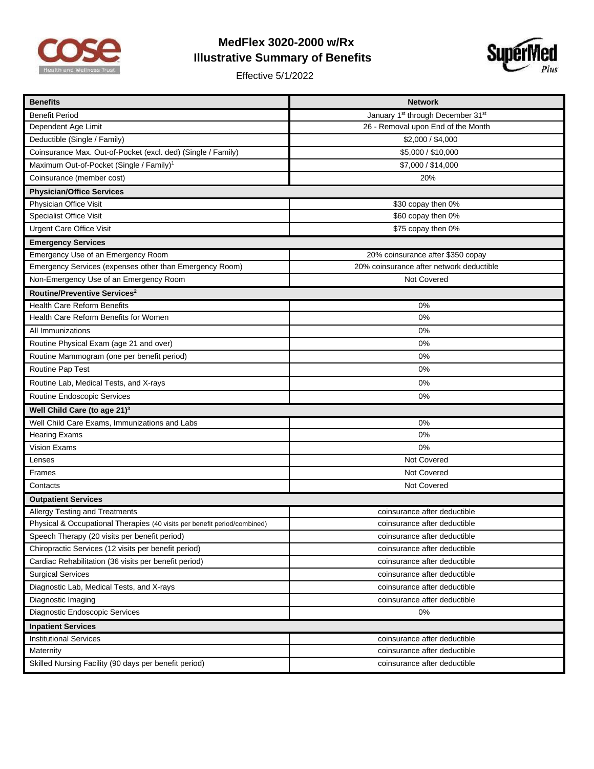

## **MedFlex 3020-2000 w/Rx Illustrative Summary of Benefits**

Effective 5/1/2022



| <b>Benefits</b>                                                           | <b>Network</b>                                            |  |
|---------------------------------------------------------------------------|-----------------------------------------------------------|--|
| <b>Benefit Period</b>                                                     | January 1 <sup>st</sup> through December 31 <sup>st</sup> |  |
| Dependent Age Limit                                                       | 26 - Removal upon End of the Month                        |  |
| Deductible (Single / Family)                                              | \$2,000 / \$4,000                                         |  |
| Coinsurance Max. Out-of-Pocket (excl. ded) (Single / Family)              | \$5,000 / \$10,000                                        |  |
| Maximum Out-of-Pocket (Single / Family) <sup>1</sup>                      | \$7,000 / \$14,000                                        |  |
| Coinsurance (member cost)                                                 | 20%                                                       |  |
| <b>Physician/Office Services</b>                                          |                                                           |  |
| Physician Office Visit                                                    | \$30 copay then 0%                                        |  |
| <b>Specialist Office Visit</b>                                            | \$60 copay then 0%                                        |  |
| <b>Urgent Care Office Visit</b>                                           | \$75 copay then 0%                                        |  |
| <b>Emergency Services</b>                                                 |                                                           |  |
| Emergency Use of an Emergency Room                                        | 20% coinsurance after \$350 copay                         |  |
| Emergency Services (expenses other than Emergency Room)                   | 20% coinsurance after network deductible                  |  |
| Non-Emergency Use of an Emergency Room                                    | Not Covered                                               |  |
| Routine/Preventive Services <sup>2</sup>                                  |                                                           |  |
| <b>Health Care Reform Benefits</b>                                        | 0%                                                        |  |
| Health Care Reform Benefits for Women                                     | 0%                                                        |  |
| All Immunizations                                                         | 0%                                                        |  |
| Routine Physical Exam (age 21 and over)                                   | 0%                                                        |  |
| Routine Mammogram (one per benefit period)                                | 0%                                                        |  |
| Routine Pap Test                                                          | 0%                                                        |  |
| Routine Lab, Medical Tests, and X-rays                                    | 0%                                                        |  |
| Routine Endoscopic Services                                               | 0%                                                        |  |
| Well Child Care (to age 21) <sup>3</sup>                                  |                                                           |  |
| Well Child Care Exams, Immunizations and Labs                             | 0%                                                        |  |
| <b>Hearing Exams</b>                                                      | 0%                                                        |  |
| Vision Exams                                                              | 0%                                                        |  |
| Lenses                                                                    | Not Covered                                               |  |
| Frames                                                                    | Not Covered                                               |  |
| Contacts                                                                  | Not Covered                                               |  |
| <b>Outpatient Services</b>                                                |                                                           |  |
| Allergy Testing and Treatments                                            | coinsurance after deductible                              |  |
| Physical & Occupational Therapies (40 visits per benefit period/combined) | coinsurance after deductible                              |  |
| Speech Therapy (20 visits per benefit period)                             | coinsurance after deductible                              |  |
| Chiropractic Services (12 visits per benefit period)                      | coinsurance after deductible                              |  |
| Cardiac Rehabilitation (36 visits per benefit period)                     | coinsurance after deductible                              |  |
| <b>Surgical Services</b>                                                  | coinsurance after deductible                              |  |
| Diagnostic Lab, Medical Tests, and X-rays                                 | coinsurance after deductible                              |  |
| Diagnostic Imaging                                                        | coinsurance after deductible                              |  |
| Diagnostic Endoscopic Services                                            | 0%                                                        |  |
| <b>Inpatient Services</b>                                                 |                                                           |  |
| <b>Institutional Services</b>                                             | coinsurance after deductible                              |  |
| Maternity                                                                 | coinsurance after deductible                              |  |
| Skilled Nursing Facility (90 days per benefit period)                     | coinsurance after deductible                              |  |